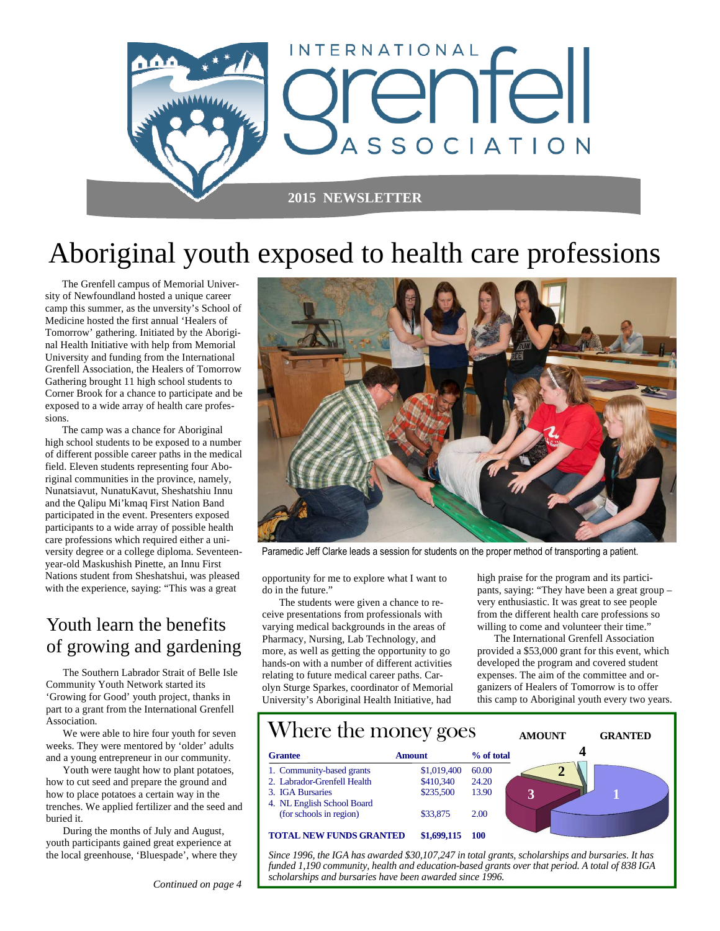

# Aboriginal youth exposed to health care professions

 The Grenfell campus of Memorial University of Newfoundland hosted a unique career camp this summer, as the unversity's School of Medicine hosted the first annual 'Healers of Tomorrow' gathering. Initiated by the Aboriginal Health Initiative with help from Memorial University and funding from the International Grenfell Association, the Healers of Tomorrow Gathering brought 11 high school students to Corner Brook for a chance to participate and be exposed to a wide array of health care professions.

 The camp was a chance for Aboriginal high school students to be exposed to a number of different possible career paths in the medical field. Eleven students representing four Aboriginal communities in the province, namely, Nunatsiavut, NunatuKavut, Sheshatshiu Innu and the Qalipu Mi'kmaq First Nation Band participated in the event. Presenters exposed participants to a wide array of possible health care professions which required either a university degree or a college diploma. Seventeenyear-old Maskushish Pinette, an Innu First Nations student from Sheshatshui, was pleased with the experience, saying: "This was a great

### Youth learn the benefits of growing and gardening

 The Southern Labrador Strait of Belle Isle Community Youth Network started its 'Growing for Good' youth project, thanks in part to a grant from the International Grenfell Association.

 We were able to hire four youth for seven weeks. They were mentored by 'older' adults and a young entrepreneur in our community.

 Youth were taught how to plant potatoes, how to cut seed and prepare the ground and how to place potatoes a certain way in the trenches. We applied fertilizer and the seed and buried it.

 During the months of July and August, youth participants gained great experience at the local greenhouse, 'Bluespade', where they



Paramedic Jeff Clarke leads a session for students on the proper method of transporting a patient.

opportunity for me to explore what I want to do in the future."

 The students were given a chance to receive presentations from professionals with varying medical backgrounds in the areas of Pharmacy, Nursing, Lab Technology, and more, as well as getting the opportunity to go hands-on with a number of different activities relating to future medical career paths. Carolyn Sturge Sparkes, coordinator of Memorial University's Aboriginal Health Initiative, had

high praise for the program and its participants, saying: "They have been a great group – very enthusiastic. It was great to see people from the different health care professions so willing to come and volunteer their time."

 The International Grenfell Association provided a \$53,000 grant for this event, which developed the program and covered student expenses. The aim of the committee and organizers of Healers of Tomorrow is to offer this camp to Aboriginal youth every two years.



*Since 1996, the IGA has awarded \$30,107,247 in total grants, scholarships and bursaries. It has funded 1,190 community, health and education-based grants over that period. A total of 838 IGA scholarships and bursaries have been awarded since 1996.*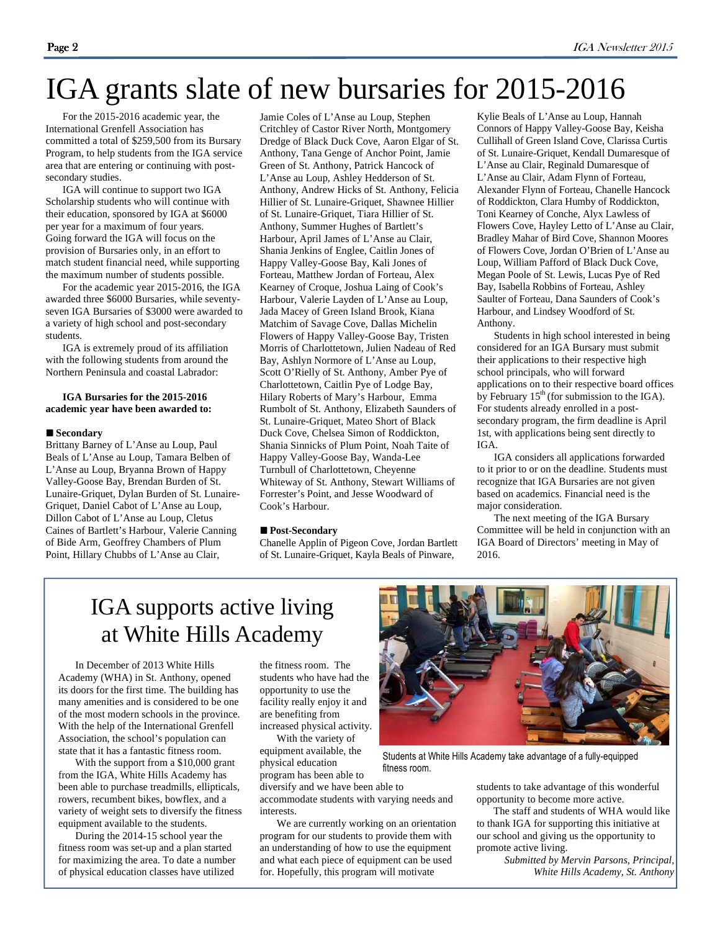# IGA grants slate of new bursaries for 2015-2016

 For the 2015-2016 academic year, the International Grenfell Association has committed a total of \$259,500 from its Bursary Program, to help students from the IGA service area that are entering or continuing with postsecondary studies.

 IGA will continue to support two IGA Scholarship students who will continue with their education, sponsored by IGA at \$6000 per year for a maximum of four years. Going forward the IGA will focus on the provision of Bursaries only, in an effort to match student financial need, while supporting the maximum number of students possible.

 For the academic year 2015-2016, the IGA awarded three \$6000 Bursaries, while seventyseven IGA Bursaries of \$3000 were awarded to a variety of high school and post-secondary students.

 IGA is extremely proud of its affiliation with the following students from around the Northern Peninsula and coastal Labrador:

#### **IGA Bursaries for the 2015-2016 academic year have been awarded to:**

### ■ Secondary

Brittany Barney of L'Anse au Loup, Paul Beals of L'Anse au Loup, Tamara Belben of L'Anse au Loup, Bryanna Brown of Happy Valley-Goose Bay, Brendan Burden of St. Lunaire-Griquet, Dylan Burden of St. Lunaire-Griquet, Daniel Cabot of L'Anse au Loup, Dillon Cabot of L'Anse au Loup, Cletus Caines of Bartlett's Harbour, Valerie Canning of Bide Arm, Geoffrey Chambers of Plum Point, Hillary Chubbs of L'Anse au Clair,

Jamie Coles of L'Anse au Loup, Stephen Critchley of Castor River North, Montgomery Dredge of Black Duck Cove, Aaron Elgar of St. Anthony, Tana Genge of Anchor Point, Jamie Green of St. Anthony, Patrick Hancock of L'Anse au Loup, Ashley Hedderson of St. Anthony, Andrew Hicks of St. Anthony, Felicia Hillier of St. Lunaire-Griquet, Shawnee Hillier of St. Lunaire-Griquet, Tiara Hillier of St. Anthony, Summer Hughes of Bartlett's Harbour, April James of L'Anse au Clair, Shania Jenkins of Englee, Caitlin Jones of Happy Valley-Goose Bay, Kali Jones of Forteau, Matthew Jordan of Forteau, Alex Kearney of Croque, Joshua Laing of Cook's Harbour, Valerie Layden of L'Anse au Loup, Jada Macey of Green Island Brook, Kiana Matchim of Savage Cove, Dallas Michelin Flowers of Happy Valley-Goose Bay, Tristen Morris of Charlottetown, Julien Nadeau of Red Bay, Ashlyn Normore of L'Anse au Loup, Scott O'Rielly of St. Anthony, Amber Pye of Charlottetown, Caitlin Pye of Lodge Bay, Hilary Roberts of Mary's Harbour, Emma Rumbolt of St. Anthony, Elizabeth Saunders of St. Lunaire-Griquet, Mateo Short of Black Duck Cove, Chelsea Simon of Roddickton, Shania Sinnicks of Plum Point, Noah Taite of Happy Valley-Goose Bay, Wanda-Lee Turnbull of Charlottetown, Cheyenne Whiteway of St. Anthony, Stewart Williams of Forrester's Point, and Jesse Woodward of Cook's Harbour.

#### ■ Post-Secondary

Chanelle Applin of Pigeon Cove, Jordan Bartlett of St. Lunaire-Griquet, Kayla Beals of Pinware,

Kylie Beals of L'Anse au Loup, Hannah Connors of Happy Valley-Goose Bay, Keisha Cullihall of Green Island Cove, Clarissa Curtis of St. Lunaire-Griquet, Kendall Dumaresque of L'Anse au Clair, Reginald Dumaresque of L'Anse au Clair, Adam Flynn of Forteau, Alexander Flynn of Forteau, Chanelle Hancock of Roddickton, Clara Humby of Roddickton, Toni Kearney of Conche, Alyx Lawless of Flowers Cove, Hayley Letto of L'Anse au Clair, Bradley Mahar of Bird Cove, Shannon Moores of Flowers Cove, Jordan O'Brien of L'Anse au Loup, William Pafford of Black Duck Cove, Megan Poole of St. Lewis, Lucas Pye of Red Bay, Isabella Robbins of Forteau, Ashley Saulter of Forteau, Dana Saunders of Cook's Harbour, and Lindsey Woodford of St. Anthony.

 Students in high school interested in being considered for an IGA Bursary must submit their applications to their respective high school principals, who will forward applications on to their respective board offices by February  $15<sup>th</sup>$  (for submission to the IGA). For students already enrolled in a postsecondary program, the firm deadline is April 1st, with applications being sent directly to IGA.

 IGA considers all applications forwarded to it prior to or on the deadline. Students must recognize that IGA Bursaries are not given based on academics. Financial need is the major consideration.

 The next meeting of the IGA Bursary Committee will be held in conjunction with an IGA Board of Directors' meeting in May of 2016.

## IGA supports active living at White Hills Academy

 In December of 2013 White Hills Academy (WHA) in St. Anthony, opened its doors for the first time. The building has many amenities and is considered to be one of the most modern schools in the province. With the help of the International Grenfell Association, the school's population can state that it has a fantastic fitness room.

 With the support from a \$10,000 grant from the IGA, White Hills Academy has been able to purchase treadmills, ellipticals, rowers, recumbent bikes, bowflex, and a variety of weight sets to diversify the fitness equipment available to the students.

 During the 2014-15 school year the fitness room was set-up and a plan started for maximizing the area. To date a number of physical education classes have utilized

the fitness room. The students who have had the opportunity to use the facility really enjoy it and are benefiting from increased physical activity.

 With the variety of equipment available, the physical education

program has been able to diversify and we have been able to accommodate students with varying needs and interests.

 We are currently working on an orientation program for our students to provide them with an understanding of how to use the equipment and what each piece of equipment can be used for. Hopefully, this program will motivate



Students at White Hills Academy take advantage of a fully-equipped fitness room.

students to take advantage of this wonderful opportunity to become more active.

 The staff and students of WHA would like to thank IGA for supporting this initiative at our school and giving us the opportunity to promote active living.

> *Submitted by Mervin Parsons, Principal, White Hills Academy, St. Anthony*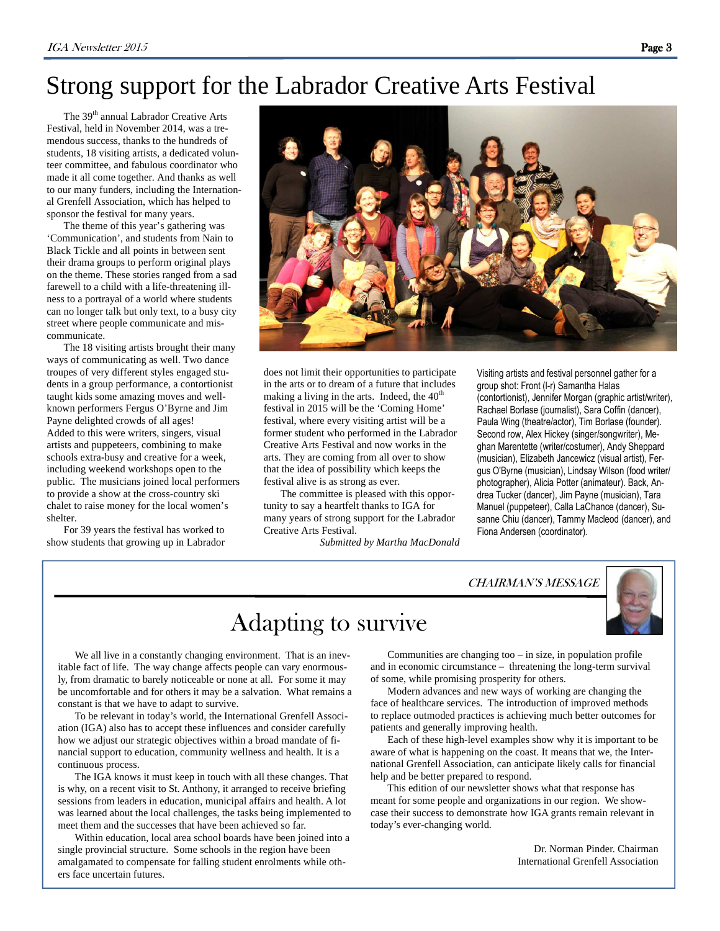## Strong support for the Labrador Creative Arts Festival

The 39<sup>th</sup> annual Labrador Creative Arts Festival, held in November 2014, was a tremendous success, thanks to the hundreds of students, 18 visiting artists, a dedicated volunteer committee, and fabulous coordinator who made it all come together. And thanks as well to our many funders, including the International Grenfell Association, which has helped to sponsor the festival for many years.

 The theme of this year's gathering was 'Communication', and students from Nain to Black Tickle and all points in between sent their drama groups to perform original plays on the theme. These stories ranged from a sad farewell to a child with a life-threatening illness to a portrayal of a world where students can no longer talk but only text, to a busy city street where people communicate and miscommunicate.

 The 18 visiting artists brought their many ways of communicating as well. Two dance troupes of very different styles engaged students in a group performance, a contortionist taught kids some amazing moves and wellknown performers Fergus O'Byrne and Jim Payne delighted crowds of all ages! Added to this were writers, singers, visual artists and puppeteers, combining to make schools extra-busy and creative for a week, including weekend workshops open to the public. The musicians joined local performers to provide a show at the cross-country ski chalet to raise money for the local women's shelter.

 For 39 years the festival has worked to show students that growing up in Labrador



does not limit their opportunities to participate in the arts or to dream of a future that includes making a living in the arts. Indeed, the  $40<sup>th</sup>$ festival in 2015 will be the 'Coming Home' festival, where every visiting artist will be a former student who performed in the Labrador Creative Arts Festival and now works in the arts. They are coming from all over to show that the idea of possibility which keeps the festival alive is as strong as ever.

 The committee is pleased with this opportunity to say a heartfelt thanks to IGA for many years of strong support for the Labrador Creative Arts Festival.

*Submitted by Martha MacDonald* 

Visiting artists and festival personnel gather for a group shot: Front (l-r) Samantha Halas (contortionist), Jennifer Morgan (graphic artist/writer), Rachael Borlase (journalist), Sara Coffin (dancer), Paula Wing (theatre/actor), Tim Borlase (founder). Second row, Alex Hickey (singer/songwriter), Meghan Marentette (writer/costumer), Andy Sheppard (musician), Elizabeth Jancewicz (visual artist), Fergus O'Byrne (musician), Lindsay Wilson (food writer/ photographer), Alicia Potter (animateur). Back, Andrea Tucker (dancer), Jim Payne (musician), Tara Manuel (puppeteer), Calla LaChance (dancer), Susanne Chiu (dancer), Tammy Macleod (dancer), and Fiona Andersen (coordinator).

### CHAIRMAN'S MESSAGE



## Adapting to survive

 We all live in a constantly changing environment. That is an inevitable fact of life. The way change affects people can vary enormously, from dramatic to barely noticeable or none at all. For some it may be uncomfortable and for others it may be a salvation. What remains a constant is that we have to adapt to survive.

 To be relevant in today's world, the International Grenfell Association (IGA) also has to accept these influences and consider carefully how we adjust our strategic objectives within a broad mandate of financial support to education, community wellness and health. It is a continuous process.

 The IGA knows it must keep in touch with all these changes. That is why, on a recent visit to St. Anthony, it arranged to receive briefing sessions from leaders in education, municipal affairs and health. A lot was learned about the local challenges, the tasks being implemented to meet them and the successes that have been achieved so far.

 Within education, local area school boards have been joined into a single provincial structure. Some schools in the region have been amalgamated to compensate for falling student enrolments while others face uncertain futures.

 Communities are changing too – in size, in population profile and in economic circumstance – threatening the long-term survival of some, while promising prosperity for others.

 Modern advances and new ways of working are changing the face of healthcare services. The introduction of improved methods to replace outmoded practices is achieving much better outcomes for patients and generally improving health.

 Each of these high-level examples show why it is important to be aware of what is happening on the coast. It means that we, the International Grenfell Association, can anticipate likely calls for financial help and be better prepared to respond.

 This edition of our newsletter shows what that response has meant for some people and organizations in our region. We showcase their success to demonstrate how IGA grants remain relevant in today's ever-changing world.

> Dr. Norman Pinder. Chairman International Grenfell Association